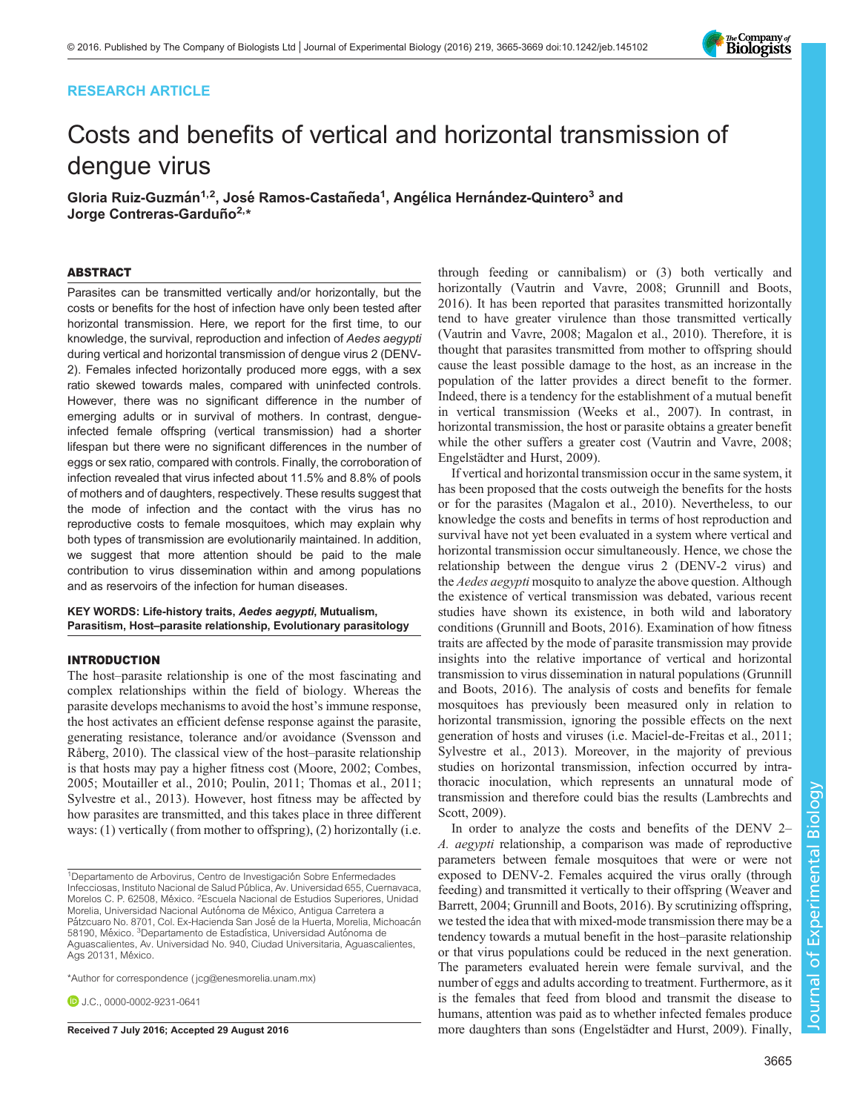# RESEARCH ARTICLE

# Costs and benefits of vertical and horizontal transmission of dengue virus

Gloria Ruiz-Guzmán<sup>1,2</sup>, José Ramos-Castañeda<sup>1</sup>, Angélica Hernández-Quintero<sup>3</sup> and Jorge Contreras-Garduño<sup>2,</sup>\*

## ABSTRACT

Parasites can be transmitted vertically and/or horizontally, but the costs or benefits for the host of infection have only been tested after horizontal transmission. Here, we report for the first time, to our knowledge, the survival, reproduction and infection of Aedes aegypti during vertical and horizontal transmission of dengue virus 2 (DENV-2). Females infected horizontally produced more eggs, with a sex ratio skewed towards males, compared with uninfected controls. However, there was no significant difference in the number of emerging adults or in survival of mothers. In contrast, dengueinfected female offspring (vertical transmission) had a shorter lifespan but there were no significant differences in the number of eggs or sex ratio, compared with controls. Finally, the corroboration of infection revealed that virus infected about 11.5% and 8.8% of pools of mothers and of daughters, respectively. These results suggest that the mode of infection and the contact with the virus has no reproductive costs to female mosquitoes, which may explain why both types of transmission are evolutionarily maintained. In addition, we suggest that more attention should be paid to the male contribution to virus dissemination within and among populations and as reservoirs of the infection for human diseases.

KEY WORDS: Life-history traits, Aedes aegypti, Mutualism, Parasitism, Host–parasite relationship, Evolutionary parasitology

## INTRODUCTION

The host–parasite relationship is one of the most fascinating and complex relationships within the field of biology. Whereas the parasite develops mechanisms to avoid the host's immune response, the host activates an efficient defense response against the parasite, generating resistance, tolerance and/or avoidance ([Svensson and](#page-4-0) [Råberg, 2010](#page-4-0)). The classical view of the host–parasite relationship is that hosts may pay a higher fitness cost [\(Moore, 2002](#page-4-0); [Combes,](#page-4-0) [2005](#page-4-0); [Moutailler et al., 2010](#page-4-0); [Poulin, 2011](#page-4-0); [Thomas et al., 2011](#page-4-0); [Sylvestre et al., 2013\)](#page-4-0). However, host fitness may be affected by how parasites are transmitted, and this takes place in three different ways: (1) vertically (from mother to offspring), (2) horizontally (i.e.

\*Author for correspondence [\( jcg@enesmorelia.unam.mx\)](mailto:jcg@enesmorelia.unam.mx)

**D.I.C.**, [0000-0002-9231-0641](http://orcid.org/0000-0002-9231-0641)

through feeding or cannibalism) or (3) both vertically and horizontally ([Vautrin and Vavre, 2008](#page-4-0); [Grunnill and Boots,](#page-4-0) [2016\)](#page-4-0). It has been reported that parasites transmitted horizontally tend to have greater virulence than those transmitted vertically [\(Vautrin and Vavre, 2008](#page-4-0); [Magalon et al., 2010](#page-4-0)). Therefore, it is thought that parasites transmitted from mother to offspring should cause the least possible damage to the host, as an increase in the population of the latter provides a direct benefit to the former. Indeed, there is a tendency for the establishment of a mutual benefit in vertical transmission ([Weeks et al., 2007](#page-4-0)). In contrast, in horizontal transmission, the host or parasite obtains a greater benefit while the other suffers a greater cost ([Vautrin and Vavre, 2008](#page-4-0); [Engelstädter and Hurst, 2009](#page-4-0)).

If vertical and horizontal transmission occur in the same system, it has been proposed that the costs outweigh the benefits for the hosts or for the parasites ([Magalon et al., 2010](#page-4-0)). Nevertheless, to our knowledge the costs and benefits in terms of host reproduction and survival have not yet been evaluated in a system where vertical and horizontal transmission occur simultaneously. Hence, we chose the relationship between the dengue virus 2 (DENV-2 virus) and the *Aedes aegypti* mosquito to analyze the above question. Although the existence of vertical transmission was debated, various recent studies have shown its existence, in both wild and laboratory conditions ([Grunnill and Boots, 2016\)](#page-4-0). Examination of how fitness traits are affected by the mode of parasite transmission may provide insights into the relative importance of vertical and horizontal transmission to virus dissemination in natural populations [\(Grunnill](#page-4-0) [and Boots, 2016\)](#page-4-0). The analysis of costs and benefits for female mosquitoes has previously been measured only in relation to horizontal transmission, ignoring the possible effects on the next generation of hosts and viruses (i.e. [Maciel-de-Freitas et al., 2011](#page-4-0); [Sylvestre et al., 2013\)](#page-4-0). Moreover, in the majority of previous studies on horizontal transmission, infection occurred by intrathoracic inoculation, which represents an unnatural mode of transmission and therefore could bias the results ([Lambrechts and](#page-4-0) [Scott, 2009](#page-4-0)).

In order to analyze the costs and benefits of the DENV 2– A. aegypti relationship, a comparison was made of reproductive parameters between female mosquitoes that were or were not exposed to DENV-2. Females acquired the virus orally (through feeding) and transmitted it vertically to their offspring ([Weaver and](#page-4-0) [Barrett, 2004](#page-4-0); [Grunnill and Boots, 2016\)](#page-4-0). By scrutinizing offspring, we tested the idea that with mixed-mode transmission there may be a tendency towards a mutual benefit in the host–parasite relationship or that virus populations could be reduced in the next generation. The parameters evaluated herein were female survival, and the number of eggs and adults according to treatment. Furthermore, as it is the females that feed from blood and transmit the disease to humans, attention was paid as to whether infected females produce Received 7 July 2016; Accepted 29 August 2016 more daughters than sons ([Engelstädter and Hurst, 2009\)](#page-4-0). Finally,



<sup>&</sup>lt;sup>1</sup>Departamento de Arbovirus, Centro de Investigación Sobre Enfermedades Infecciosas, Instituto Nacional de Salud Pública, Av. Universidad 655, Cuernavaca, Morelos C. P. 62508, México. <sup>2</sup>Escuela Nacional de Estudios Superiores, Unidad Morelia, Universidad Nacional Autónoma de México, Antigua Carretera a Pátzcuaro No. 8701, Col. Ex-Hacienda San José de la Huerta, Morelia, Michoacán 58190, México. <sup>3</sup>Departamento de Estadística, Universidad Autónoma de Aguascalientes, Av. Universidad No. 940, Ciudad Universitaria, Aguascalientes, Ags 20131, México.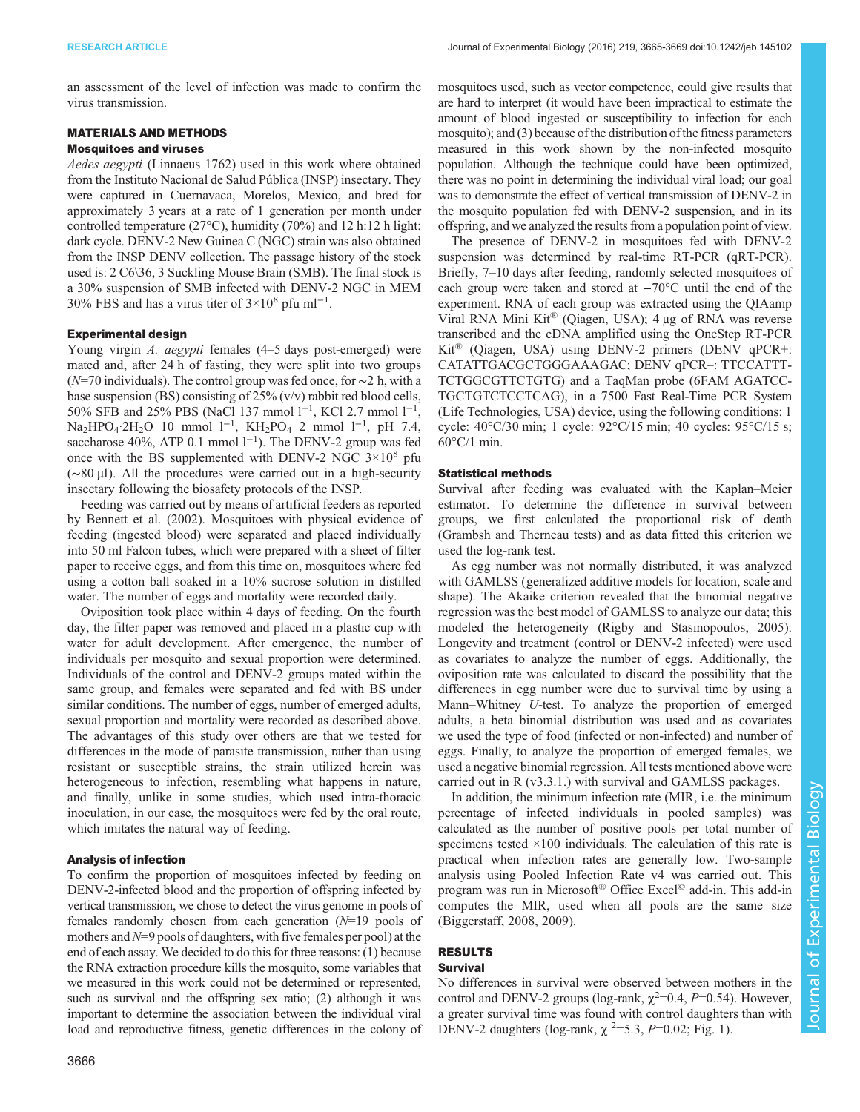an assessment of the level of infection was made to confirm the virus transmission.

## MATERIALS AND METHODS

# Mosquitoes and viruses

Aedes aegypti (Linnaeus 1762) used in this work where obtained from the Instituto Nacional de Salud Pública (INSP) insectary. They were captured in Cuernavaca, Morelos, Mexico, and bred for approximately 3 years at a rate of 1 generation per month under controlled temperature (27°C), humidity (70%) and 12 h:12 h light: dark cycle. DENV-2 New Guinea C (NGC) strain was also obtained from the INSP DENV collection. The passage history of the stock used is: 2 C6\36, 3 Suckling Mouse Brain (SMB). The final stock is a 30% suspension of SMB infected with DENV-2 NGC in MEM 30% FBS and has a virus titer of  $3 \times 10^8$  pfu ml<sup>-1</sup>.

## Experimental design

Young virgin A. aegypti females (4–5 days post-emerged) were mated and, after 24 h of fasting, they were split into two groups (N=70 individuals). The control group was fed once, for ∼2 h, with a base suspension (BS) consisting of 25% (v/v) rabbit red blood cells, 50% SFB and 25% PBS (NaCl 137 mmol l<sup>-1</sup>, KCl 2.7 mmol l<sup>-1</sup>, Na<sub>2</sub>HPO<sub>4</sub>·2H<sub>2</sub>O 10 mmol 1<sup>-1</sup>, KH<sub>2</sub>PO<sub>4</sub> 2 mmol 1<sup>-1</sup>, pH 7.4, saccharose 40%, ATP 0.1 mmol  $1^{-1}$ ). The DENV-2 group was fed once with the BS supplemented with DENV-2 NGC  $3\times10^8$  pfu (∼80 µl). All the procedures were carried out in a high-security insectary following the biosafety protocols of the INSP.

Feeding was carried out by means of artificial feeders as reported by [Bennett et al. \(2002\)](#page-4-0). Mosquitoes with physical evidence of feeding (ingested blood) were separated and placed individually into 50 ml Falcon tubes, which were prepared with a sheet of filter paper to receive eggs, and from this time on, mosquitoes where fed using a cotton ball soaked in a 10% sucrose solution in distilled water. The number of eggs and mortality were recorded daily.

Oviposition took place within 4 days of feeding. On the fourth day, the filter paper was removed and placed in a plastic cup with water for adult development. After emergence, the number of individuals per mosquito and sexual proportion were determined. Individuals of the control and DENV-2 groups mated within the same group, and females were separated and fed with BS under similar conditions. The number of eggs, number of emerged adults, sexual proportion and mortality were recorded as described above. The advantages of this study over others are that we tested for differences in the mode of parasite transmission, rather than using resistant or susceptible strains, the strain utilized herein was heterogeneous to infection, resembling what happens in nature, and finally, unlike in some studies, which used intra-thoracic inoculation, in our case, the mosquitoes were fed by the oral route, which imitates the natural way of feeding.

## Analysis of infection

To confirm the proportion of mosquitoes infected by feeding on DENV-2-infected blood and the proportion of offspring infected by vertical transmission, we chose to detect the virus genome in pools of females randomly chosen from each generation  $(N=19)$  pools of mothers and  $N=9$  pools of daughters, with five females per pool) at the end of each assay. We decided to do this for three reasons: (1) because the RNA extraction procedure kills the mosquito, some variables that we measured in this work could not be determined or represented, such as survival and the offspring sex ratio; (2) although it was important to determine the association between the individual viral load and reproductive fitness, genetic differences in the colony of

mosquitoes used, such as vector competence, could give results that are hard to interpret (it would have been impractical to estimate the amount of blood ingested or susceptibility to infection for each mosquito); and (3) because of the distribution of the fitness parameters measured in this work shown by the non-infected mosquito population. Although the technique could have been optimized, there was no point in determining the individual viral load; our goal was to demonstrate the effect of vertical transmission of DENV-2 in the mosquito population fed with DENV-2 suspension, and in its offspring, and we analyzed the results from a population point of view.

The presence of DENV-2 in mosquitoes fed with DENV-2 suspension was determined by real-time RT-PCR (qRT-PCR). Briefly, 7–10 days after feeding, randomly selected mosquitoes of each group were taken and stored at −70°C until the end of the experiment. RNA of each group was extracted using the QIAamp Viral RNA Mini Kit® (Qiagen, USA); 4 µg of RNA was reverse transcribed and the cDNA amplified using the OneStep RT-PCR Kit® (Qiagen, USA) using DENV-2 primers (DENV qPCR+: CATATTGACGCTGGGAAAGAC; DENV qPCR–: TTCCATTT-TCTGGCGTTCTGTG) and a TaqMan probe (6FAM AGATCC-TGCTGTCTCCTCAG), in a 7500 Fast Real-Time PCR System (Life Technologies, USA) device, using the following conditions: 1 cycle: 40°C/30 min; 1 cycle: 92°C/15 min; 40 cycles: 95°C/15 s; 60°C/1 min.

## Statistical methods

Survival after feeding was evaluated with the Kaplan–Meier estimator. To determine the difference in survival between groups, we first calculated the proportional risk of death (Grambsh and Therneau tests) and as data fitted this criterion we used the log-rank test.

As egg number was not normally distributed, it was analyzed with GAMLSS (generalized additive models for location, scale and shape). The Akaike criterion revealed that the binomial negative regression was the best model of GAMLSS to analyze our data; this modeled the heterogeneity ([Rigby and Stasinopoulos, 2005\)](#page-4-0). Longevity and treatment (control or DENV-2 infected) were used as covariates to analyze the number of eggs. Additionally, the oviposition rate was calculated to discard the possibility that the differences in egg number were due to survival time by using a Mann–Whitney U-test. To analyze the proportion of emerged adults, a beta binomial distribution was used and as covariates we used the type of food (infected or non-infected) and number of eggs. Finally, to analyze the proportion of emerged females, we used a negative binomial regression. All tests mentioned above were carried out in R (v3.3.1.) with survival and GAMLSS packages.

In addition, the minimum infection rate (MIR, i.e. the minimum percentage of infected individuals in pooled samples) was calculated as the number of positive pools per total number of specimens tested  $\times$ 100 individuals. The calculation of this rate is practical when infection rates are generally low. Two-sample analysis using Pooled Infection Rate v4 was carried out. This program was run in Microsoft® Office Excel© add-in. This add-in computes the MIR, used when all pools are the same size [\(Biggerstaff, 2008, 2009](#page-4-0)).

# RESULTS

## Survival

No differences in survival were observed between mothers in the control and DENV-2 groups (log-rank,  $\chi^2$ =0.4, P=0.54). However, a greater survival time was found with control daughters than with DENV-2 daughters (log-rank,  $\chi$ <sup>2</sup>=5.3, P=0.02; [Fig. 1\)](#page-2-0).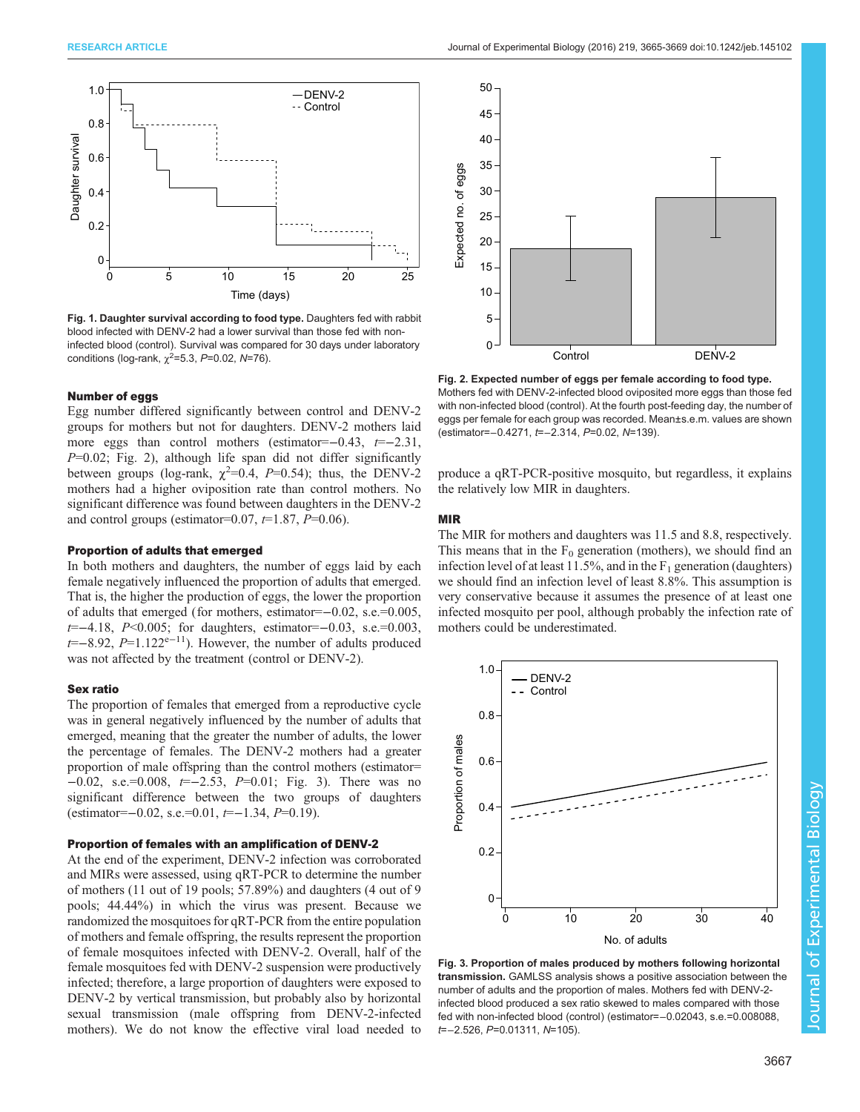<span id="page-2-0"></span>

Fig. 1. Daughter survival according to food type. Daughters fed with rabbit blood infected with DENV-2 had a lower survival than those fed with noninfected blood (control). Survival was compared for 30 days under laboratory conditions (log-rank,  $\chi^2 = 5.3$ ,  $P = 0.02$ ,  $N = 76$ ).

### Number of eggs

Egg number differed significantly between control and DENV-2 groups for mothers but not for daughters. DENV-2 mothers laid more eggs than control mothers (estimator= $-0.43$ ,  $t=-2.31$ ,  $P=0.02$ ; Fig. 2), although life span did not differ significantly between groups (log-rank,  $\chi^2$ =0.4, P=0.54); thus, the DENV-2 mothers had a higher oviposition rate than control mothers. No significant difference was found between daughters in the DENV-2 and control groups (estimator=0.07,  $t=1.87$ ,  $P=0.06$ ).

#### Proportion of adults that emerged

In both mothers and daughters, the number of eggs laid by each female negatively influenced the proportion of adults that emerged. That is, the higher the production of eggs, the lower the proportion of adults that emerged (for mothers, estimator=−0.02, s.e.=0.005, t=−4.18, P<0.005; for daughters, estimator=−0.03, s.e.=0.003, t=−8.92, P=1.122e−11). However, the number of adults produced was not affected by the treatment (control or DENV-2).

## Sex ratio

The proportion of females that emerged from a reproductive cycle was in general negatively influenced by the number of adults that emerged, meaning that the greater the number of adults, the lower the percentage of females. The DENV-2 mothers had a greater proportion of male offspring than the control mothers (estimator= −0.02, s.e.=0.008, t=−2.53, P=0.01; Fig. 3). There was no significant difference between the two groups of daughters  $(estimator=-0.02, s.e.=0.01, t=-1.34, P=0.19).$ 

## Proportion of females with an amplification of DENV-2

At the end of the experiment, DENV-2 infection was corroborated and MIRs were assessed, using qRT-PCR to determine the number of mothers (11 out of 19 pools; 57.89%) and daughters (4 out of 9 pools; 44.44%) in which the virus was present. Because we randomized the mosquitoes for qRT-PCR from the entire population of mothers and female offspring, the results represent the proportion of female mosquitoes infected with DENV-2. Overall, half of the female mosquitoes fed with DENV-2 suspension were productively infected; therefore, a large proportion of daughters were exposed to DENV-2 by vertical transmission, but probably also by horizontal sexual transmission (male offspring from DENV-2-infected mothers). We do not know the effective viral load needed to



Fig. 2. Expected number of eggs per female according to food type. Mothers fed with DENV-2-infected blood oviposited more eggs than those fed with non-infected blood (control). At the fourth post-feeding day, the number of eggs per female for each group was recorded. Mean±s.e.m. values are shown (estimator=−0.4271, t=−2.314, P=0.02, N=139).

produce a qRT-PCR-positive mosquito, but regardless, it explains the relatively low MIR in daughters.

## MIR

The MIR for mothers and daughters was 11.5 and 8.8, respectively. This means that in the  $F_0$  generation (mothers), we should find an infection level of at least 11.5%, and in the  $F_1$  generation (daughters) we should find an infection level of least 8.8%. This assumption is very conservative because it assumes the presence of at least one infected mosquito per pool, although probably the infection rate of mothers could be underestimated.



Fig. 3. Proportion of males produced by mothers following horizontal transmission. GAMLSS analysis shows a positive association between the number of adults and the proportion of males. Mothers fed with DENV-2 infected blood produced a sex ratio skewed to males compared with those fed with non-infected blood (control) (estimator=−0.02043, s.e.=0.008088, t=−2.526, P=0.01311, N=105).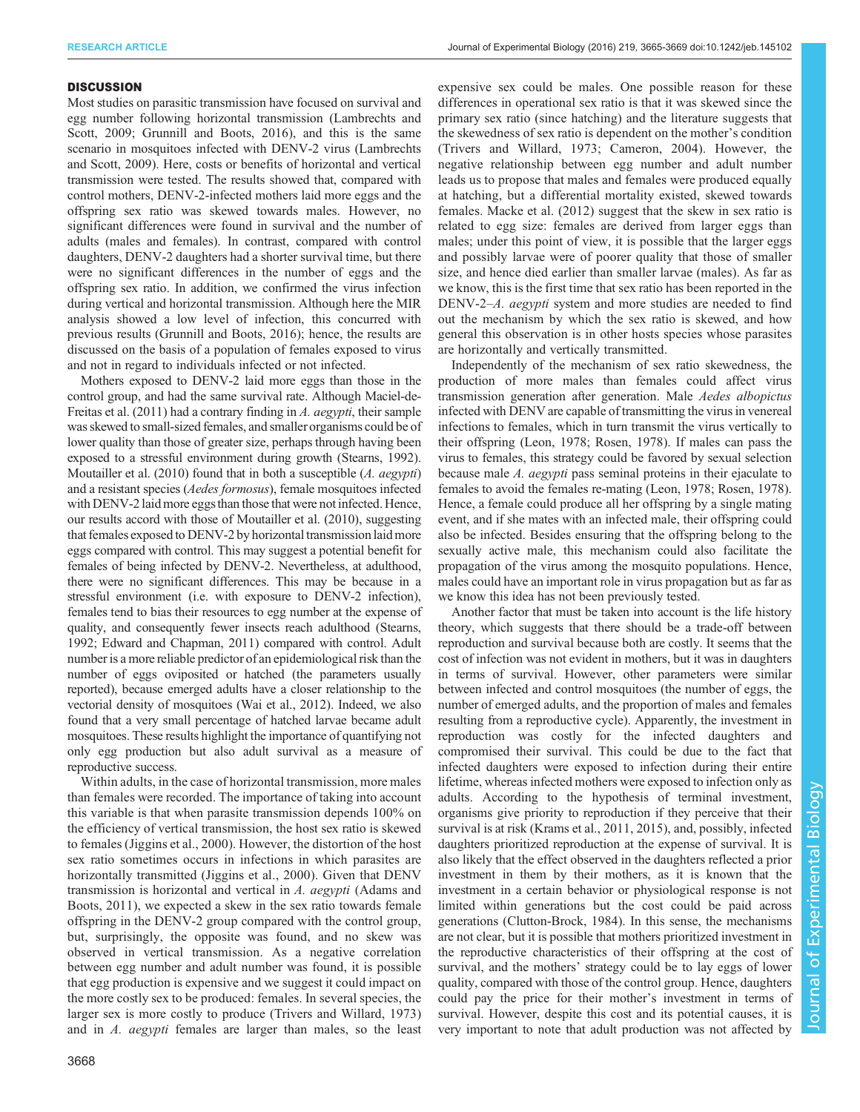## **DISCUSSION**

Most studies on parasitic transmission have focused on survival and egg number following horizontal transmission ([Lambrechts and](#page-4-0) [Scott, 2009; Grunnill and Boots, 2016](#page-4-0)), and this is the same scenario in mosquitoes infected with DENV-2 virus ([Lambrechts](#page-4-0) [and Scott, 2009](#page-4-0)). Here, costs or benefits of horizontal and vertical transmission were tested. The results showed that, compared with control mothers, DENV-2-infected mothers laid more eggs and the offspring sex ratio was skewed towards males. However, no significant differences were found in survival and the number of adults (males and females). In contrast, compared with control daughters, DENV-2 daughters had a shorter survival time, but there were no significant differences in the number of eggs and the offspring sex ratio. In addition, we confirmed the virus infection during vertical and horizontal transmission. Although here the MIR analysis showed a low level of infection, this concurred with previous results [\(Grunnill and Boots, 2016](#page-4-0)); hence, the results are discussed on the basis of a population of females exposed to virus and not in regard to individuals infected or not infected.

Mothers exposed to DENV-2 laid more eggs than those in the control group, and had the same survival rate. Although [Maciel-de-](#page-4-0)[Freitas et al. \(2011\)](#page-4-0) had a contrary finding in A. aegypti, their sample was skewed to small-sized females, and smaller organisms could be of lower quality than those of greater size, perhaps through having been exposed to a stressful environment during growth [\(Stearns, 1992\)](#page-4-0). [Moutailler et al. \(2010\)](#page-4-0) found that in both a susceptible (A. aegypti) and a resistant species (Aedes formosus), female mosquitoes infected with DENV-2 laid more eggs than those that were not infected. Hence, our results accord with those of [Moutailler et al. \(2010\),](#page-4-0) suggesting that females exposed to DENV-2 by horizontal transmission laid more eggs compared with control. This may suggest a potential benefit for females of being infected by DENV-2. Nevertheless, at adulthood, there were no significant differences. This may be because in a stressful environment (i.e. with exposure to DENV-2 infection), females tend to bias their resources to egg number at the expense of quality, and consequently fewer insects reach adulthood ([Stearns,](#page-4-0) [1992; Edward and Chapman, 2011](#page-4-0)) compared with control. Adult number is a more reliable predictor of an epidemiological risk than the number of eggs oviposited or hatched (the parameters usually reported), because emerged adults have a closer relationship to the vectorial density of mosquitoes [\(Wai et al., 2012](#page-4-0)). Indeed, we also found that a very small percentage of hatched larvae became adult mosquitoes. These results highlight the importance of quantifying not only egg production but also adult survival as a measure of reproductive success.

Within adults, in the case of horizontal transmission, more males than females were recorded. The importance of taking into account this variable is that when parasite transmission depends 100% on the efficiency of vertical transmission, the host sex ratio is skewed to females ([Jiggins et al., 2000\)](#page-4-0). However, the distortion of the host sex ratio sometimes occurs in infections in which parasites are horizontally transmitted ([Jiggins et al., 2000](#page-4-0)). Given that DENV transmission is horizontal and vertical in A. aegypti ([Adams and](#page-4-0) [Boots, 2011\)](#page-4-0), we expected a skew in the sex ratio towards female offspring in the DENV-2 group compared with the control group, but, surprisingly, the opposite was found, and no skew was observed in vertical transmission. As a negative correlation between egg number and adult number was found, it is possible that egg production is expensive and we suggest it could impact on the more costly sex to be produced: females. In several species, the larger sex is more costly to produce [\(Trivers and Willard, 1973\)](#page-4-0) and in A. aegypti females are larger than males, so the least

expensive sex could be males. One possible reason for these differences in operational sex ratio is that it was skewed since the primary sex ratio (since hatching) and the literature suggests that the skewedness of sex ratio is dependent on the mother's condition [\(Trivers and Willard, 1973; Cameron, 2004](#page-4-0)). However, the negative relationship between egg number and adult number leads us to propose that males and females were produced equally at hatching, but a differential mortality existed, skewed towards females. [Macke et al. \(2012\)](#page-4-0) suggest that the skew in sex ratio is related to egg size: females are derived from larger eggs than males; under this point of view, it is possible that the larger eggs and possibly larvae were of poorer quality that those of smaller size, and hence died earlier than smaller larvae (males). As far as we know, this is the first time that sex ratio has been reported in the DENV-2–A. aegypti system and more studies are needed to find out the mechanism by which the sex ratio is skewed, and how general this observation is in other hosts species whose parasites are horizontally and vertically transmitted.

Independently of the mechanism of sex ratio skewedness, the production of more males than females could affect virus transmission generation after generation. Male Aedes albopictus infected with DENV are capable of transmitting the virus in venereal infections to females, which in turn transmit the virus vertically to their offspring [\(Leon, 1978; Rosen, 1978](#page-4-0)). If males can pass the virus to females, this strategy could be favored by sexual selection because male A. *aegypti* pass seminal proteins in their ejaculate to females to avoid the females re-mating [\(Leon, 1978](#page-4-0); [Rosen, 1978\)](#page-4-0). Hence, a female could produce all her offspring by a single mating event, and if she mates with an infected male, their offspring could also be infected. Besides ensuring that the offspring belong to the sexually active male, this mechanism could also facilitate the propagation of the virus among the mosquito populations. Hence, males could have an important role in virus propagation but as far as we know this idea has not been previously tested.

Another factor that must be taken into account is the life history theory, which suggests that there should be a trade-off between reproduction and survival because both are costly. It seems that the cost of infection was not evident in mothers, but it was in daughters in terms of survival. However, other parameters were similar between infected and control mosquitoes (the number of eggs, the number of emerged adults, and the proportion of males and females resulting from a reproductive cycle). Apparently, the investment in reproduction was costly for the infected daughters and compromised their survival. This could be due to the fact that infected daughters were exposed to infection during their entire lifetime, whereas infected mothers were exposed to infection only as adults. According to the hypothesis of terminal investment, organisms give priority to reproduction if they perceive that their survival is at risk ([Krams et al., 2011, 2015](#page-4-0)), and, possibly, infected daughters prioritized reproduction at the expense of survival. It is also likely that the effect observed in the daughters reflected a prior investment in them by their mothers, as it is known that the investment in a certain behavior or physiological response is not limited within generations but the cost could be paid across generations [\(Clutton-Brock, 1984](#page-4-0)). In this sense, the mechanisms are not clear, but it is possible that mothers prioritized investment in the reproductive characteristics of their offspring at the cost of survival, and the mothers' strategy could be to lay eggs of lower quality, compared with those of the control group. Hence, daughters could pay the price for their mother's investment in terms of survival. However, despite this cost and its potential causes, it is very important to note that adult production was not affected by

3668